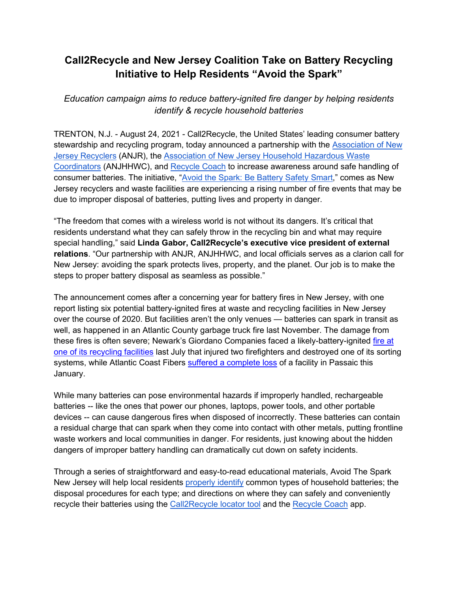## **Call2Recycle and New Jersey Coalition Take on Battery Recycling Initiative to Help Residents "Avoid the Spark"**

*Education campaign aims to reduce battery-ignited fire danger by helping residents identify & recycle household batteries*

TRENTON, N.J. - August 24, 2021 - Call2Recycle, the United States' leading consumer battery stewardship and recycling program, today announced a partnership with the [Association of New](https://anjr.com/)  [Jersey Recyclers](https://anjr.com/) (ANJR), the [Association of New Jersey Household Hazardous Waste](https://njhazwaste.com/)  [Coordinators](https://njhazwaste.com/) (ANJHHWC), and [Recycle Coach](https://recyclecoach.com/) to increase awareness around safe handling of consumer batteries. The initiative, ["Avoid the Spark: Be Battery Safety Smart,](https://www.call2recycle.org/avoid-the-spark-nj/)" comes as New Jersey recyclers and waste facilities are experiencing a rising number of fire events that may be due to improper disposal of batteries, putting lives and property in danger.

"The freedom that comes with a wireless world is not without its dangers. It's critical that residents understand what they can safely throw in the recycling bin and what may require special handling," said **Linda Gabor, Call2Recycle's executive vice president of external relations**. "Our partnership with ANJR, ANJHHWC, and local officials serves as a clarion call for New Jersey: avoiding the spark protects lives, property, and the planet. Our job is to make the steps to proper battery disposal as seamless as possible."

The announcement comes after a concerning year for battery fires in New Jersey, with one report listing six potential battery-ignited fires at waste and recycling facilities in New Jersey over the course of 2020. But facilities aren't the only venues — batteries can spark in transit as well, as happened in an Atlantic County garbage truck fire last November. The damage from these fires is often severe; Newark's Giordano Companies faced a likely-battery-ignited [fire at](https://patch.com/new-jersey/newarknj/fire-newark-recycling-facility-2-firefighters-injured)  [one of its recycling facilities](https://patch.com/new-jersey/newarknj/fire-newark-recycling-facility-2-firefighters-injured) last July that injured two firefighters and destroyed one of its sorting systems, while Atlantic Coast Fibers [suffered a complete loss](https://www.northjersey.com/story/news/passaic/2021/01/30/passaic-nj-fire-seventh-street-blaze-recycling-center/4322321001/) of a facility in Passaic this January.

While many batteries can pose environmental hazards if improperly handled, rechargeable batteries -- like the ones that power our phones, laptops, power tools, and other portable devices -- can cause dangerous fires when disposed of incorrectly. These batteries can contain a residual charge that can spark when they come into contact with other metals, putting frontline waste workers and local communities in danger. For residents, just knowing about the hidden dangers of improper battery handling can dramatically cut down on safety incidents.

Through a series of straightforward and easy-to-read educational materials, Avoid The Spark New Jersey will help local residents [properly identify](https://www.call2recycle.org/download/58928/) common types of household batteries; the disposal procedures for each type; and directions on where they can safely and conveniently recycle their batteries using the [Call2Recycle locator tool](http://call2recycle.org/locator) and the [Recycle Coach](https://recyclecoach.com/) app.